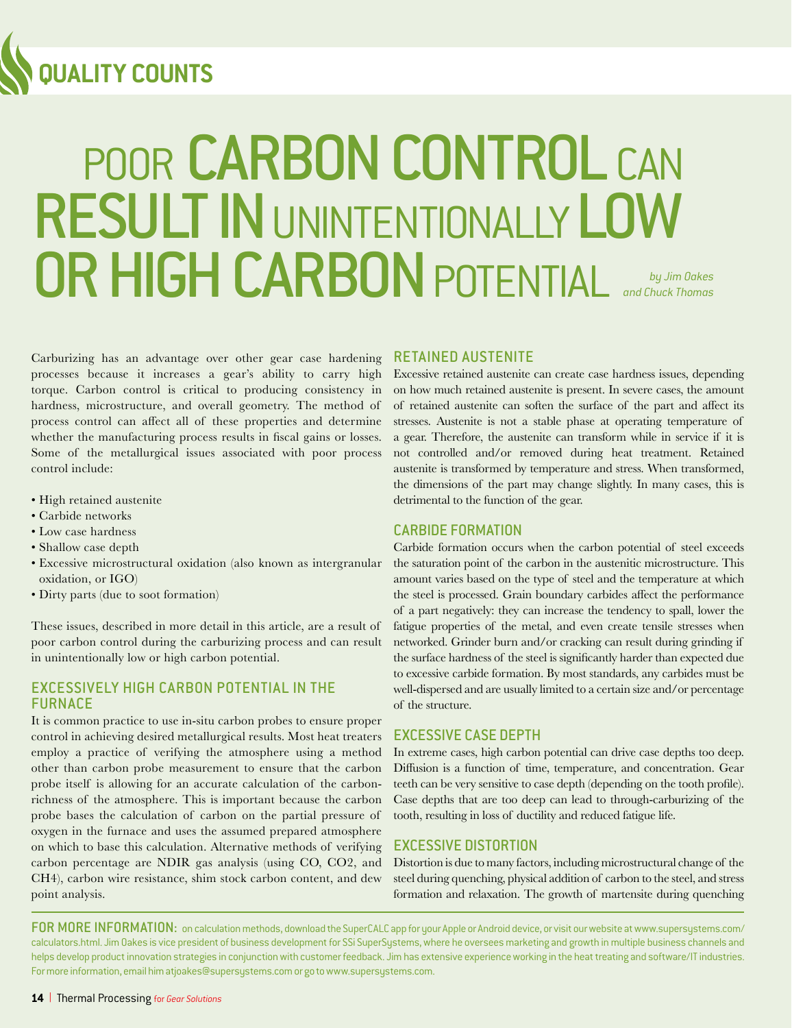

# POOR CARBON CONTROL CAN RESULT IN UNINTENTIONALLY LOW OR HIGH CARBON POTENTIAL *by Jim Dakes and Chuck Thomas*

Carburizing has an advantage over other gear case hardening processes because it increases a gear's ability to carry high torque. Carbon control is critical to producing consistency in hardness, microstructure, and overall geometry. The method of process control can affect all of these properties and determine whether the manufacturing process results in fiscal gains or losses. Some of the metallurgical issues associated with poor process control include:

- High retained austenite
- Carbide networks
- Low case hardness
- Shallow case depth
- Excessive microstructural oxidation (also known as intergranular oxidation, or IGO)
- Dirty parts (due to soot formation)

These issues, described in more detail in this article, are a result of poor carbon control during the carburizing process and can result in unintentionally low or high carbon potential.

#### EXCESSIVELY HIGH CARBON POTENTIAL IN THE **FURNACE**

It is common practice to use in-situ carbon probes to ensure proper control in achieving desired metallurgical results. Most heat treaters employ a practice of verifying the atmosphere using a method other than carbon probe measurement to ensure that the carbon probe itself is allowing for an accurate calculation of the carbonrichness of the atmosphere. This is important because the carbon probe bases the calculation of carbon on the partial pressure of oxygen in the furnace and uses the assumed prepared atmosphere on which to base this calculation. Alternative methods of verifying carbon percentage are NDIR gas analysis (using CO, CO2, and CH4), carbon wire resistance, shim stock carbon content, and dew point analysis.

#### RETAINED AUSTENITE

Excessive retained austenite can create case hardness issues, depending on how much retained austenite is present. In severe cases, the amount of retained austenite can soften the surface of the part and affect its stresses. Austenite is not a stable phase at operating temperature of a gear. Therefore, the austenite can transform while in service if it is not controlled and/or removed during heat treatment. Retained austenite is transformed by temperature and stress. When transformed, the dimensions of the part may change slightly. In many cases, this is detrimental to the function of the gear.

#### CARBIDE FORMATION

Carbide formation occurs when the carbon potential of steel exceeds the saturation point of the carbon in the austenitic microstructure. This amount varies based on the type of steel and the temperature at which the steel is processed. Grain boundary carbides affect the performance of a part negatively: they can increase the tendency to spall, lower the fatigue properties of the metal, and even create tensile stresses when networked. Grinder burn and/or cracking can result during grinding if the surface hardness of the steel is significantly harder than expected due to excessive carbide formation. By most standards, any carbides must be well-dispersed and are usually limited to a certain size and/or percentage of the structure.

#### EXCESSIVE CASE DEPTH

In extreme cases, high carbon potential can drive case depths too deep. Diffusion is a function of time, temperature, and concentration. Gear teeth can be very sensitive to case depth (depending on the tooth profile). Case depths that are too deep can lead to through-carburizing of the tooth, resulting in loss of ductility and reduced fatigue life.

#### EXCESSIVE DISTORTION

Distortion is due to many factors, including microstructural change of the steel during quenching, physical addition of carbon to the steel, and stress formation and relaxation. The growth of martensite during quenching

FOR MORE INFORMATION: on calculation methods, download the SuperCALC app for your Apple or Android device, or visit our website at [www.supersystems.com/](http://www.supersystems.com/calculators.html) [calculators.html. J](http://www.supersystems.com/calculators.html)im Oakes is vice president of business development for SSi SuperSystems, where he oversees marketing and growth in multiple business channels and helps develop product innovation strategies in conjunction with customer feedback. Jim has extensive experience working in the heat treating and software/IT industries. For more information, email hi[m atjoakes@supersystems.como](mailto:atjoakes@supersystems.com?subject=Referred by Thermal Processing for Gear Solutions)r go to[www.supersystems.com.](http://www.supersystems.com)